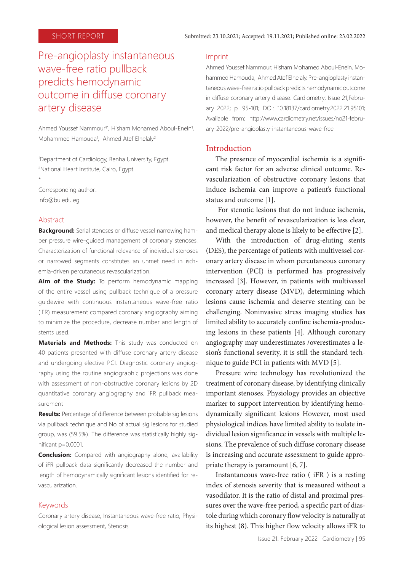# Pre-angioplasty instantaneous wave-free ratio pullback predicts hemodynamic outcome in diffuse coronary artery disease

Ahmed Youssef Nammour<sup>1\*</sup>, Hisham Mohamed Aboul-Enein<sup>1</sup>, Mohammed Hamouda<sup>1</sup>, Ahmed Atef Elhelaly<sup>2</sup>

1 Department of Cardiology, Benha University, Egypt. 2 National Heart Institute, Cairo, Egypt. \*

Corresponding author: info@bu.edu.eg

#### Abstract

**Background:** Serial stenoses or diffuse vessel narrowing hamper pressure wire–guided management of coronary stenoses. Characterization of functional relevance of individual stenoses or narrowed segments constitutes an unmet need in ischemia-driven percutaneous revascularization.

Aim of the Study: To perform hemodynamic mapping of the entire vessel using pullback technique of a pressure guidewire with continuous instantaneous wave-free ratio (iFR) measurement compared coronary angiography aiming to minimize the procedure, decrease number and length of stents used.

**Materials and Methods:** This study was conducted on 40 patients presented with diffuse coronary artery disease and undergoing elective PCI. Diagnostic coronary angiography using the routine angiographic projections was done with assessment of non-obstructive coronary lesions by 2D quantitative coronary angiography and iFR pullback measurement

**Results:** Percentage of difference between probable sig lesions via pullback technique and No of actual sig lesions for studied group, was (59.5%). The difference was statistically highly significant p=0.0001.

**Conclusion:** Compared with angiography alone, availability of iFR pullback data significantly decreased the number and length of hemodynamically significant lesions identified for revascularization.

#### Keywords

Coronary artery disease, Instantaneous wave-free ratio, Physiological lesion assessment, Stenosis

#### Imprint

Ahmed Youssef Nammour, Hisham Mohamed Aboul-Enein, Mohammed Hamouda, Ahmed Atef Elhelaly. Pre-angioplasty instantaneous wave-free ratio pullback predicts hemodynamic outcome in diffuse coronary artery disease. Cardiometry; Issue 21;February 2022; p. 95-101; DOI: 10.18137/cardiometry.2022.21.95101; Available from: http://www.cardiometry.net/issues/no21-february-2022/pre-angioplasty-instantaneous-wave-free

#### Introduction

The presence of myocardial ischemia is a significant risk factor for an adverse clinical outcome. Revascularization of obstructive coronary lesions that induce ischemia can improve a patient's functional status and outcome [1].

 For stenotic lesions that do not induce ischemia, however, the benefit of revascularization is less clear, and medical therapy alone is likely to be effective [2].

With the introduction of drug-eluting stents (DES), the percentage of patients with multivessel coronary artery disease in whom percutaneous coronary intervention (PCI) is performed has progressively increased [3]. However, in patients with multivessel coronary artery disease (MVD), determining which lesions cause ischemia and deserve stenting can be challenging. Noninvasive stress imaging studies has limited ability to accurately confine ischemia-producing lesions in these patients [4]. Although coronary angiography may underestimates /overestimates a lesion's functional severity, it is still the standard technique to guide PCI in patients with MVD [5].

Pressure wire technology has revolutionized the treatment of coronary disease, by identifying clinically important stenoses. Physiology provides an objective marker to support intervention by identifying hemodynamically significant lesions However, most used physiological indices have limited ability to isolate individual lesion significance in vessels with multiple lesions. The prevalence of such diffuse coronary disease is increasing and accurate assessment to guide appropriate therapy is paramount [6, 7].

Instantaneous wave-free ratio ( iFR ) is a resting index of stenosis severity that is measured without a vasodilator. It is the ratio of distal and proximal pressures over the wave-free period, a specific part of diastole during which coronary flow velocity is naturally at its highest (8). This higher flow velocity allows iFR to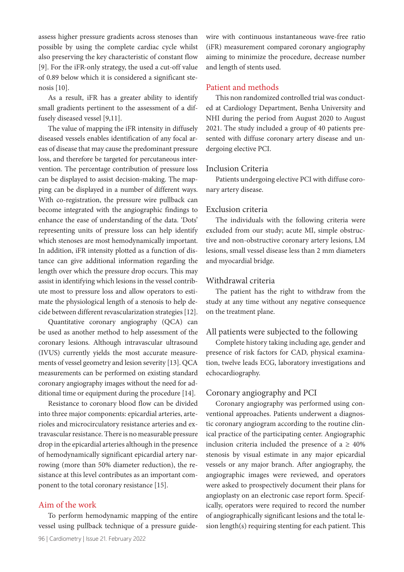assess higher pressure gradients across stenoses than possible by using the complete cardiac cycle whilst also preserving the key characteristic of constant flow [9]. For the iFR-only strategy, the used a cut-off value of 0.89 below which it is considered a significant stenosis [10].

As a result, iFR has a greater ability to identify small gradients pertinent to the assessment of a diffusely diseased vessel [9,11].

The value of mapping the iFR intensity in diffusely diseased vessels enables identification of any focal areas of disease that may cause the predominant pressure loss, and therefore be targeted for percutaneous intervention. The percentage contribution of pressure loss can be displayed to assist decision-making. The mapping can be displayed in a number of different ways. With co-registration, the pressure wire pullback can become integrated with the angiographic findings to enhance the ease of understanding of the data. 'Dots' representing units of pressure loss can help identify which stenoses are most hemodynamically important. In addition, iFR intensity plotted as a function of distance can give additional information regarding the length over which the pressure drop occurs. This may assist in identifying which lesions in the vessel contribute most to pressure loss and allow operators to estimate the physiological length of a stenosis to help decide between different revascularization strategies [12].

Quantitative coronary angiography (QCA) can be used as another method to help assessment of the coronary lesions. Although intravascular ultrasound (IVUS) currently yields the most accurate measurements of vessel geometry and lesion severity [13]. QCA measurements can be performed on existing standard coronary angiography images without the need for additional time or equipment during the procedure [14].

Resistance to coronary blood flow can be divided into three major components: epicardial arteries, arterioles and microcirculatory resistance arteries and extravascular resistance. There is no measurable pressure drop in the epicardial arteries although in the presence of hemodynamically significant epicardial artery narrowing (more than 50% diameter reduction), the resistance at this level contributes as an important component to the total coronary resistance [15].

### Aim of the work

To perform hemodynamic mapping of the entire vessel using pullback technique of a pressure guidewire with continuous instantaneous wave-free ratio (iFR) measurement compared coronary angiography aiming to minimize the procedure, decrease number and length of stents used.

# Patient and methods

This non randomized controlled trial was conducted at Cardiology Department, Benha University and NHI during the period from August 2020 to August 2021. The study included a group of 40 patients presented with diffuse coronary artery disease and undergoing elective PCI.

#### Inclusion Criteria

Patients undergoing elective PCI with diffuse coronary artery disease.

#### Exclusion criteria

The individuals with the following criteria were excluded from our study; acute MI, simple obstructive and non-obstructive coronary artery lesions, LM lesions, small vessel disease less than 2 mm diameters and myocardial bridge.

### Withdrawal criteria

The patient has the right to withdraw from the study at any time without any negative consequence on the treatment plane.

#### All patients were subjected to the following

Complete history taking including age, gender and presence of risk factors for CAD, physical examination, twelve leads ECG, laboratory investigations and echocardiography.

### Coronary angiography and PCI

Coronary angiography was performed using conventional approaches. Patients underwent a diagnostic coronary angiogram according to the routine clinical practice of the participating center. Angiographic inclusion criteria included the presence of a  $\geq 40\%$ stenosis by visual estimate in any major epicardial vessels or any major branch. After angiography, the angiographic images were reviewed, and operators were asked to prospectively document their plans for angioplasty on an electronic case report form. Specifically, operators were required to record the number of angiographically significant lesions and the total lesion length(s) requiring stenting for each patient. This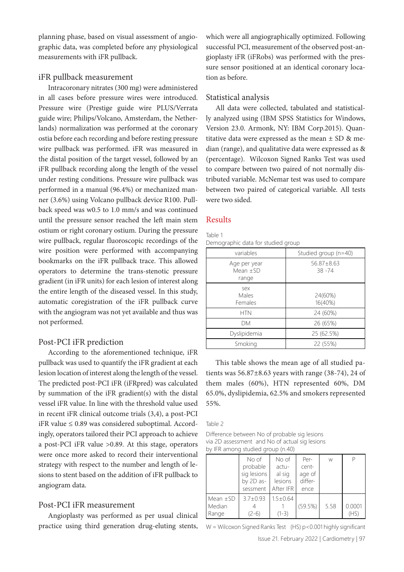planning phase, based on visual assessment of angiographic data, was completed before any physiological measurements with iFR pullback.

### iFR pullback measurement

Intracoronary nitrates (300 mg) were administered in all cases before pressure wires were introduced. Pressure wire (Prestige guide wire PLUS/Verrata guide wire; Philips/Volcano, Amsterdam, the Netherlands) normalization was performed at the coronary ostia before each recording and before resting pressure wire pullback was performed. iFR was measured in the distal position of the target vessel, followed by an iFR pullback recording along the length of the vessel under resting conditions. Pressure wire pullback was performed in a manual (96.4%) or mechanized manner (3.6%) using Volcano pullback device R100. Pullback speed was w0.5 to 1.0 mm/s and was continued until the pressure sensor reached the left main stem ostium or right coronary ostium. During the pressure wire pullback, regular fluoroscopic recordings of the wire position were performed with accompanying bookmarks on the iFR pullback trace. This allowed operators to determine the trans-stenotic pressure gradient (in iFR units) for each lesion of interest along the entire length of the diseased vessel. In this study, automatic coregistration of the iFR pullback curve with the angiogram was not yet available and thus was not performed.

# Post-PCI iFR prediction

According to the aforementioned technique, iFR pullback was used to quantify the iFR gradient at each lesion location of interest along the length of the vessel. The predicted post-PCI iFR (iFRpred) was calculated by summation of the iFR gradient(s) with the distal vessel iFR value. In line with the threshold value used in recent iFR clinical outcome trials (3,4), a post-PCI iFR value ≤ 0.89 was considered suboptimal. Accordingly, operators tailored their PCI approach to achieve a post-PCI iFR value >0.89. At this stage, operators were once more asked to record their interventional strategy with respect to the number and length of lesions to stent based on the addition of iFR pullback to angiogram data.

# Post-PCI iFR measurement

Angioplasty was performed as per usual clinical practice using third generation drug-eluting stents, which were all angiographically optimized. Following successful PCI, measurement of the observed post-angioplasty iFR (iFRobs) was performed with the pressure sensor positioned at an identical coronary location as before.

## Statistical analysis

All data were collected, tabulated and statistically analyzed using (IBM SPSS Statistics for Windows, Version 23.0. Armonk, NY: IBM Corp.2015). Quantitative data were expressed as the mean  $\pm$  SD & median (range), and qualitative data were expressed as & (percentage). Wilcoxon Signed Ranks Test was used to compare between two paired of not normally distributed variable. McNemar test was used to compare between two paired of categorical variable. All tests were two sided.

# Results

Table 1

Demographic data for studied group

| variables                           | Studied group (n=40)          |
|-------------------------------------|-------------------------------|
| Age per year<br>Mean $+SD$<br>range | $56.87 \pm 8.63$<br>$38 - 74$ |
| sex<br>Males<br>Females             | 24(60%)<br>16(40%)            |
| <b>HTN</b>                          | 24 (60%)                      |
| DМ                                  | 26 (65%)                      |
| Dyslipidemia                        | 25 (62.5%)                    |
| Smoking                             | 22 (55%)                      |

This table shows the mean age of all studied patients was  $56.87\pm8.63$  years with range (38-74), 24 of them males (60%), HTN represented 60%, DM 65.0%, dyslipidemia, 62.5% and smokers represented 55%.

#### Table 2

Difference between No of probable sig lesions via 2D assessment and No of actual sig lesions by IFR among studied group (n.40)

|               | No of          | No of          | Per-    | W    |        |
|---------------|----------------|----------------|---------|------|--------|
|               | probable       | actu-          | cent-   |      |        |
|               | sig lesions    | al sig         | age of  |      |        |
|               | by 2D as-      | lesions        | differ- |      |        |
|               | sessment       | After IFR      | ence    |      |        |
| Mean $\pm$ SD | $3.7 \pm 0.93$ | $1.5 \pm 0.64$ |         |      |        |
| Median        |                |                | (59.5%) | 5.58 | 0.0001 |
| Range         | $(2-6)$        | $(1-3)$        |         |      | (HS)   |

W = Wilcoxon Signed Ranks Test  $(HS) p < 0.001$  highly significant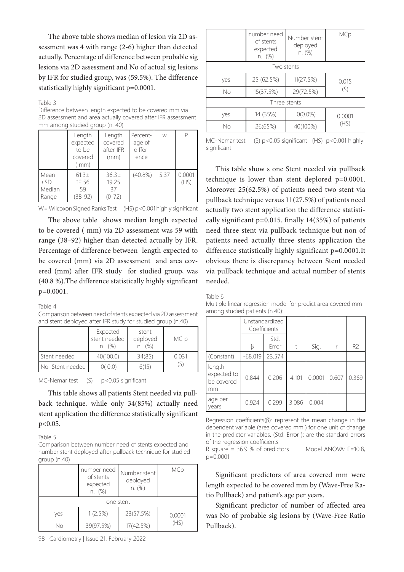The above table shows median of lesion via 2D assessment was 4 with range (2-6) higher than detected actually. Percentage of difference between probable sig lesions via 2D assessment and No of actual sig lesions by IFR for studied group, was (59.5%). The difference statistically highly significant p=0.0001.

#### Table 3

Difference between length expected to be covered mm via 2D assessment and area actually covered after IFR assessment mm among studied group (n. 40)

|                                     | Length<br>expected<br>to be<br>covered<br>(mm) | Length<br>covered<br>after IFR<br>(mm) | Percent-<br>age of<br>differ-<br>ence | W    |                |
|-------------------------------------|------------------------------------------------|----------------------------------------|---------------------------------------|------|----------------|
| Mean<br>$\pm$ SD<br>Median<br>Range | $61.3 \pm$<br>12.56<br>59<br>$(38-92)$         | $36.3+$<br>19.25<br>37<br>$(0-72)$     | $(40.8\%)$                            | 5.37 | 0.0001<br>(HS) |

W = Wilcoxon Signed Ranks Test (HS) p<0.001 highly significant

The above table shows median length expected to be covered ( mm) via 2D assessment was 59 with range (38–92) higher than detected actually by IFR. Percentage of difference between length expected to be covered (mm) via 2D assessment and area covered (mm) after IFR study for studied group, was (40.8 %).The difference statistically highly significant p=0.0001.

#### Table 4

Comparison between need of stents expected via 2D assessment and stent deployed after IFR study for studied group (n.40)

|                 | Expected<br>stent needed<br>n. (%) | stent<br>deployed<br>n. (%) | MC p  |
|-----------------|------------------------------------|-----------------------------|-------|
| Stent needed    | 40(100.0)                          | 34(85)                      | 0.031 |
| No Stent needed | 0 (0.0)                            | 6(15                        | (S)   |

MC-Nemar test (S) p<0.05 significant

This table shows all patients Stent needed via pullback technique. while only 34(85%) actually need stent application the difference statistically significant p<0.05.

#### Table 5

Comparison between number need of stents expected and number stent deployed after pullback technique for studied group (n.40)

|           | number need<br>of stents<br>expected<br>n. (%) | Number stent<br>deployed<br>n. (%) | MCp    |  |  |
|-----------|------------------------------------------------|------------------------------------|--------|--|--|
| one stent |                                                |                                    |        |  |  |
| yes       | 1(2.5%)                                        |                                    | 0.0001 |  |  |
| Nο        | 39(97.5%)                                      | 17(42.5%)                          | (HS)   |  |  |

98 | Cardiometry | Issue 21. February 2022

|              | number need<br>Number stent<br>of stents<br>deployed<br>expected<br>n. (%)<br>n. (%) |            | MCp    |  |  |
|--------------|--------------------------------------------------------------------------------------|------------|--------|--|--|
|              |                                                                                      | Two stents |        |  |  |
| yes          | 25 (62.5%)                                                                           | 11(27.5%)  | 0.015  |  |  |
| No           | 15(37.5%)                                                                            | 29(72.5%)  | (S)    |  |  |
| Three stents |                                                                                      |            |        |  |  |
| yes          | 14 (35%)                                                                             | $0(0.0\%)$ | 0.0001 |  |  |
| No           | 26(65%)                                                                              | 40(100%)   | (HS)   |  |  |

MC-Nemar test (S) p<0.05 significant (HS) p<0.001 highly significant

This table show s one Stent needed via pullback technique is lower than stent deplored p=0.0001. Moreover 25(62.5%) of patients need two stent via pullback technique versus 11(27.5%) of patients need actually two stent application the difference statistically significant p=0.015. finally 14(35%) of patients need three stent via pullback technique but non of patients need actually three stents application the difference statistically highly significant p=0.0001.It obvious there is discrepancy between Stent needed via pullback technique and actual number of stents needed.

Table 6

Multiple linear regression model for predict area covered mm among studied patients (n.40):

|                                           | Unstandardized<br>Coefficients |               |       |        |       |                |
|-------------------------------------------|--------------------------------|---------------|-------|--------|-------|----------------|
|                                           | ß                              | Std.<br>Error | t     | Sig.   |       | R <sub>2</sub> |
| (Constant)                                | $-68.019$                      | 23.574        |       |        |       |                |
| length<br>expected to<br>be covered<br>mm | 0.844                          | 0.206         | 4.101 | 0.0001 | 0.607 | 0.369          |
| age per<br>vears                          | 0.924                          | 0.299         | 3.086 | 0.004  |       |                |

Regression coefficients(β): represent the mean change in the dependent variable (area covered mm ) for one unit of change in the predictor variables. (Std. Error ): are the standard errors of the regression coefficients

R square = 36.9 % of predictors Model ANOVA: F=10.8, p=0.0001

Significant predictors of area covered mm were length expected to be covered mm by (Wave-Free Ratio Pullback) and patient's age per years.

Significant predictor of number of affected area was No of probable sig lesions by (Wave-Free Ratio Pullback).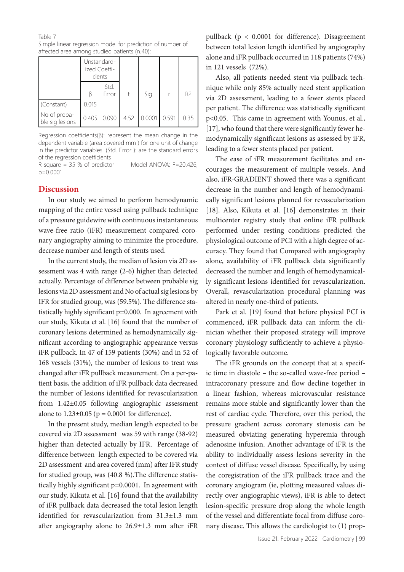Table 7

Simple linear regression model for prediction of number of affected area among studied patients (n.40):

|                                 | Unstandard-<br>ized Coeffi-<br>cients |               |      |        |       |                |
|---------------------------------|---------------------------------------|---------------|------|--------|-------|----------------|
|                                 |                                       | Std.<br>Error | t    | Sig.   |       | R <sub>2</sub> |
| (Constant)                      | 0.015                                 |               |      |        |       |                |
| No of proba-<br>ble sig lesions | 0.405                                 | 0.090         | 4.52 | 0.0001 | 0.591 | 0.35           |

Regression coefficients(β): represent the mean change in the dependent variable (area covered mm ) for one unit of change in the predictor variables. (Std. Error ): are the standard errors of the regression coefficients

R square = 35 % of predictor Model ANOVA: F=20.426, p=0.0001

# **Discussion**

In our study we aimed to perform hemodynamic mapping of the entire vessel using pullback technique of a pressure guidewire with continuous instantaneous wave-free ratio (iFR) measurement compared coronary angiography aiming to minimize the procedure, decrease number and length of stents used.

In the current study, the median of lesion via 2D assessment was 4 with range (2-6) higher than detected actually. Percentage of difference between probable sig lesions via 2D assessment and No of actual sig lesions by IFR for studied group, was (59.5%). The difference statistically highly significant p=0.000. In agreement with our study, Kikuta et al. [16] found that the number of coronary lesions determined as hemodynamically significant according to angiographic appearance versus iFR pullback. In 47 of 159 patients (30%) and in 52 of 168 vessels (31%), the number of lesions to treat was changed after iFR pullback measurement. On a per-patient basis, the addition of iFR pullback data decreased the number of lesions identified for revascularization from 1.42±0.05 following angiographic assessment alone to  $1.23 \pm 0.05$  ( $p = 0.0001$  for difference).

In the present study, median length expected to be covered via 2D assessment was 59 with range (38-92) higher than detected actually by IFR. Percentage of difference between length expected to be covered via 2D assessment and area covered (mm) after IFR study for studied group, was (40.8 %).The difference statistically highly significant p=0.0001. In agreement with our study, Kikuta et al. [16] found that the availability of iFR pullback data decreased the total lesion length identified for revascularization from 31.3±1.3 mm after angiography alone to 26.9±1.3 mm after iFR

pullback (p < 0.0001 for difference). Disagreement between total lesion length identified by angiography alone and iFR pullback occurred in 118 patients (74%) in 121 vessels (72%).

Also, all patients needed stent via pullback technique while only 85% actually need stent application via 2D assessment, leading to a fewer stents placed per patient. The difference was statistically significant p<0.05. This came in agreement with Younus, et al., [17], who found that there were significantly fewer hemodynamically significant lesions as assessed by iFR, leading to a fewer stents placed per patient.

The ease of iFR measurement facilitates and encourages the measurement of multiple vessels. And also, iFR-GRADIENT showed there was a significant decrease in the number and length of hemodynamically significant lesions planned for revascularization [18]. Also, Kikuta et al. [16] demonstrates in their multicenter registry study that online iFR pullback performed under resting conditions predicted the physiological outcome of PCI with a high degree of accuracy. They found that Compared with angiography alone, availability of iFR pullback data significantly decreased the number and length of hemodynamically significant lesions identified for revascularization. Overall, revascularization procedural planning was altered in nearly one-third of patients.

Park et al. [19] found that before physical PCI is commenced, iFR pullback data can inform the clinician whether their proposed strategy will improve coronary physiology sufficiently to achieve a physiologically favorable outcome.

The iFR grounds on the concept that at a specific time in diastole – the so-called wave-free period – intracoronary pressure and flow decline together in a linear fashion, whereas microvascular resistance remains more stable and significantly lower than the rest of cardiac cycle. Therefore, over this period, the pressure gradient across coronary stenosis can be measured obviating generating hyperemia through adenosine infusion. Another advantage of iFR is the ability to individually assess lesions severity in the context of diffuse vessel disease. Specifically, by using the coregistration of the iFR pullback trace and the coronary angiogram (ie, plotting measured values directly over angiographic views), iFR is able to detect lesion-specific pressure drop along the whole length of the vessel and differentiate focal from diffuse coronary disease. This allows the cardiologist to (1) prop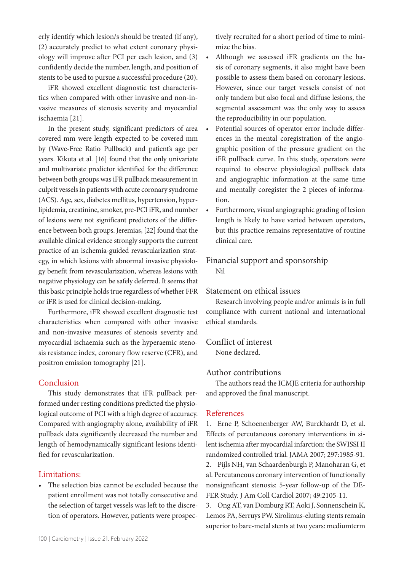erly identify which lesion/s should be treated (if any), (2) accurately predict to what extent coronary physiology will improve after PCI per each lesion, and (3) confidently decide the number, length, and position of stents to be used to pursue a successful procedure (20).

iFR showed excellent diagnostic test characteristics when compared with other invasive and non-invasive measures of stenosis severity and myocardial ischaemia [21].

In the present study, significant predictors of area covered mm were length expected to be covered mm by (Wave-Free Ratio Pullback) and patient's age per years. Kikuta et al. [16] found that the only univariate and multivariate predictor identified for the difference between both groups was iFR pullback measurement in culprit vessels in patients with acute coronary syndrome (ACS). Age, sex, diabetes mellitus, hypertension, hyperlipidemia, creatinine, smoker, pre-PCI iFR, and number of lesions were not significant predictors of the difference between both groups. Jeremias, [22] found that the available clinical evidence strongly supports the current practice of an ischemia-guided revascularization strategy, in which lesions with abnormal invasive physiology benefit from revascularization, whereas lesions with negative physiology can be safely deferred. It seems that this basic principle holds true regardless of whether FFR or iFR is used for clinical decision-making.

Furthermore, iFR showed excellent diagnostic test characteristics when compared with other invasive and non-invasive measures of stenosis severity and myocardial ischaemia such as the hyperaemic stenosis resistance index, coronary flow reserve (CFR), and positron emission tomography [21].

# Conclusion

This study demonstrates that iFR pullback performed under resting conditions predicted the physiological outcome of PCI with a high degree of accuracy. Compared with angiography alone, availability of iFR pullback data significantly decreased the number and length of hemodynamically significant lesions identified for revascularization.

### Limitations:

• The selection bias cannot be excluded because the patient enrollment was not totally consecutive and the selection of target vessels was left to the discretion of operators. However, patients were prospectively recruited for a short period of time to minimize the bias.

- Although we assessed iFR gradients on the basis of coronary segments, it also might have been possible to assess them based on coronary lesions. However, since our target vessels consist of not only tandem but also focal and diffuse lesions, the segmental assessment was the only way to assess the reproducibility in our population.
- Potential sources of operator error include differences in the mental coregistration of the angiographic position of the pressure gradient on the iFR pullback curve. In this study, operators were required to observe physiological pullback data and angiographic information at the same time and mentally coregister the 2 pieces of information.
- Furthermore, visual angiographic grading of lesion length is likely to have varied between operators, but this practice remains representative of routine clinical care.

# Financial support and sponsorship Nil

### Statement on ethical issues

Research involving people and/or animals is in full compliance with current national and international ethical standards.

# Conflict of interest

None declared.

### Author contributions

The authors read the ICMJE criteria for authorship and approved the final manuscript.

### References

1. Erne P, Schoenenberger AW, Burckhardt D, et al. Effects of percutaneous coronary interventions in silent ischemia after myocardial infarction: the SWISSI II randomized controlled trial. JAMA 2007; 297:1985-91.

2. Pijls NH, van Schaardenburgh P, Manoharan G, et al. Percutaneous coronary intervention of functionally nonsignificant stenosis: 5-year follow-up of the DE-FER Study. J Am Coll Cardiol 2007; 49:2105-11.

3. Ong AT, van Domburg RT, Aoki J, Sonnenschein K, Lemos PA, Serruys PW. Sirolimus-eluting stents remain superior to bare-metal stents at two years: mediumterm